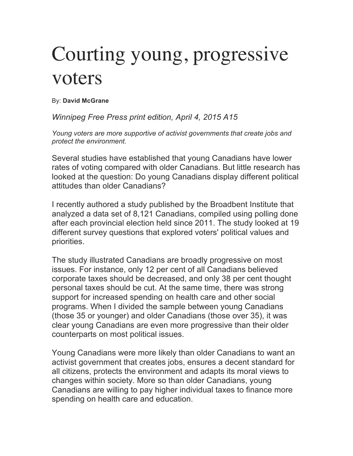## Courting young, progressive voters

By: **David McGrane**

*Winnipeg Free Press print edition, April 4, 2015 A15*

*Young voters are more supportive of activist governments that create jobs and protect the environment.* 

Several studies have established that young Canadians have lower rates of voting compared with older Canadians. But little research has looked at the question: Do young Canadians display different political attitudes than older Canadians?

I recently authored a study published by the Broadbent Institute that analyzed a data set of 8,121 Canadians, compiled using polling done after each provincial election held since 2011. The study looked at 19 different survey questions that explored voters' political values and priorities.

The study illustrated Canadians are broadly progressive on most issues. For instance, only 12 per cent of all Canadians believed corporate taxes should be decreased, and only 38 per cent thought personal taxes should be cut. At the same time, there was strong support for increased spending on health care and other social programs. When I divided the sample between young Canadians (those 35 or younger) and older Canadians (those over 35), it was clear young Canadians are even more progressive than their older counterparts on most political issues.

Young Canadians were more likely than older Canadians to want an activist government that creates jobs, ensures a decent standard for all citizens, protects the environment and adapts its moral views to changes within society. More so than older Canadians, young Canadians are willing to pay higher individual taxes to finance more spending on health care and education.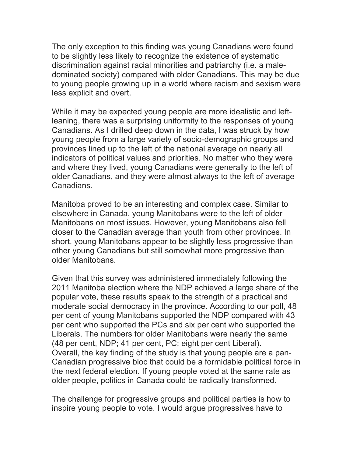The only exception to this finding was young Canadians were found to be slightly less likely to recognize the existence of systematic discrimination against racial minorities and patriarchy (i.e. a maledominated society) compared with older Canadians. This may be due to young people growing up in a world where racism and sexism were less explicit and overt.

While it may be expected young people are more idealistic and leftleaning, there was a surprising uniformity to the responses of young Canadians. As I drilled deep down in the data, I was struck by how young people from a large variety of socio-demographic groups and provinces lined up to the left of the national average on nearly all indicators of political values and priorities. No matter who they were and where they lived, young Canadians were generally to the left of older Canadians, and they were almost always to the left of average Canadians.

Manitoba proved to be an interesting and complex case. Similar to elsewhere in Canada, young Manitobans were to the left of older Manitobans on most issues. However, young Manitobans also fell closer to the Canadian average than youth from other provinces. In short, young Manitobans appear to be slightly less progressive than other young Canadians but still somewhat more progressive than older Manitobans.

Given that this survey was administered immediately following the 2011 Manitoba election where the NDP achieved a large share of the popular vote, these results speak to the strength of a practical and moderate social democracy in the province. According to our poll, 48 per cent of young Manitobans supported the NDP compared with 43 per cent who supported the PCs and six per cent who supported the Liberals. The numbers for older Manitobans were nearly the same (48 per cent, NDP; 41 per cent, PC; eight per cent Liberal). Overall, the key finding of the study is that young people are a pan-Canadian progressive bloc that could be a formidable political force in the next federal election. If young people voted at the same rate as older people, politics in Canada could be radically transformed.

The challenge for progressive groups and political parties is how to inspire young people to vote. I would argue progressives have to